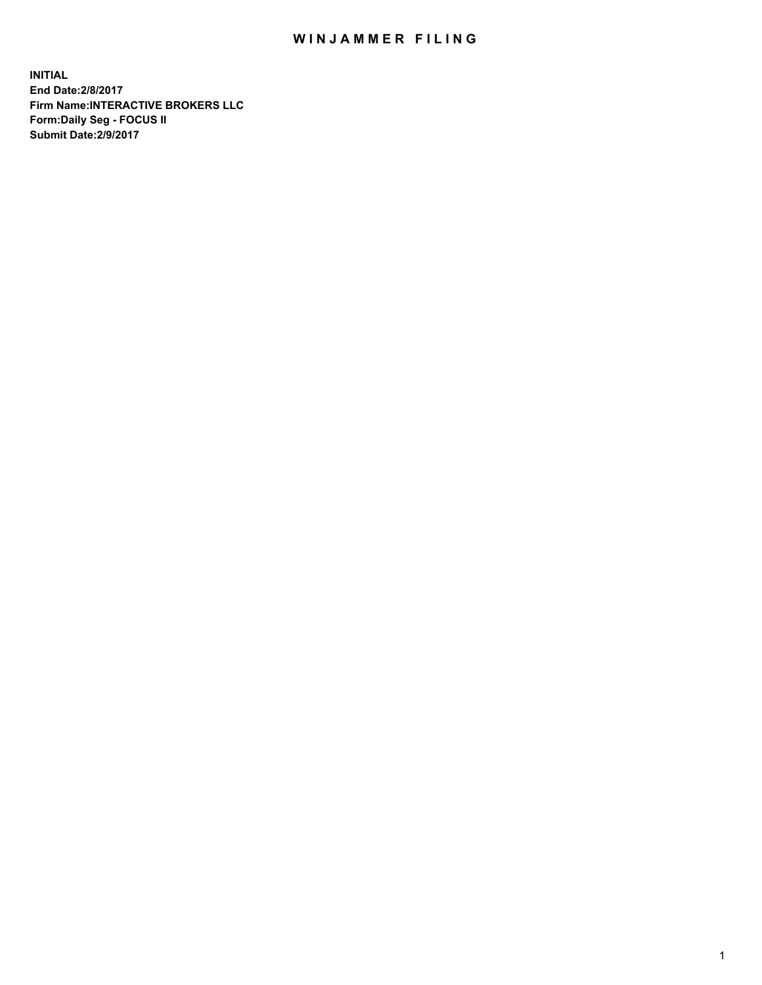## WIN JAMMER FILING

**INITIAL End Date:2/8/2017 Firm Name:INTERACTIVE BROKERS LLC Form:Daily Seg - FOCUS II Submit Date:2/9/2017**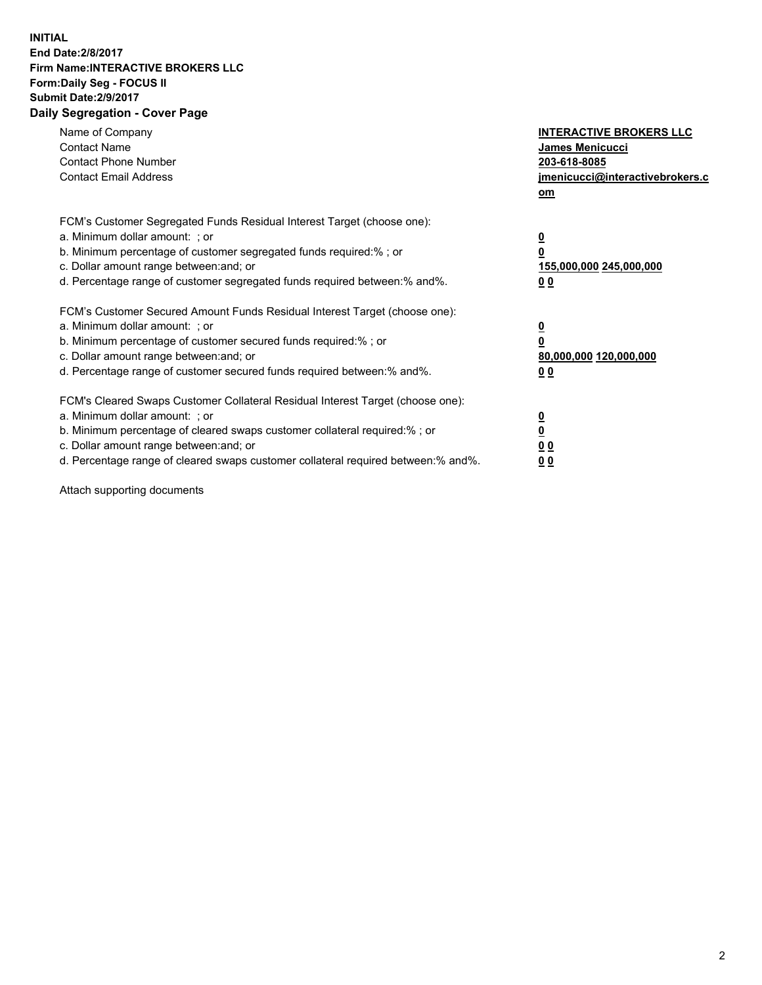## **INITIAL End Date:2/8/2017 Firm Name:INTERACTIVE BROKERS LLC Form:Daily Seg - FOCUS II Submit Date:2/9/2017 Daily Segregation - Cover Page**

| Name of Company<br><b>Contact Name</b><br><b>Contact Phone Number</b><br><b>Contact Email Address</b>                                                                                                                                                                                                                          | <b>INTERACTIVE BROKERS LLC</b><br>James Menicucci<br>203-618-8085<br>jmenicucci@interactivebrokers.c<br>om |
|--------------------------------------------------------------------------------------------------------------------------------------------------------------------------------------------------------------------------------------------------------------------------------------------------------------------------------|------------------------------------------------------------------------------------------------------------|
| FCM's Customer Segregated Funds Residual Interest Target (choose one):<br>a. Minimum dollar amount: ; or<br>b. Minimum percentage of customer segregated funds required:% ; or<br>c. Dollar amount range between: and; or<br>d. Percentage range of customer segregated funds required between:% and%.                         | $\overline{\mathbf{0}}$<br>0<br>155,000,000 245,000,000<br>0 <sub>0</sub>                                  |
| FCM's Customer Secured Amount Funds Residual Interest Target (choose one):<br>a. Minimum dollar amount: ; or<br>b. Minimum percentage of customer secured funds required:%; or<br>c. Dollar amount range between: and; or<br>d. Percentage range of customer secured funds required between: % and %.                          | $\overline{\mathbf{0}}$<br>$\overline{\mathbf{0}}$<br>80,000,000 120,000,000<br>00                         |
| FCM's Cleared Swaps Customer Collateral Residual Interest Target (choose one):<br>a. Minimum dollar amount: ; or<br>b. Minimum percentage of cleared swaps customer collateral required:% ; or<br>c. Dollar amount range between: and; or<br>d. Percentage range of cleared swaps customer collateral required between:% and%. | $\underline{\mathbf{0}}$<br>$\underline{\mathbf{0}}$<br>0 <sub>0</sub><br>0 <sub>0</sub>                   |

Attach supporting documents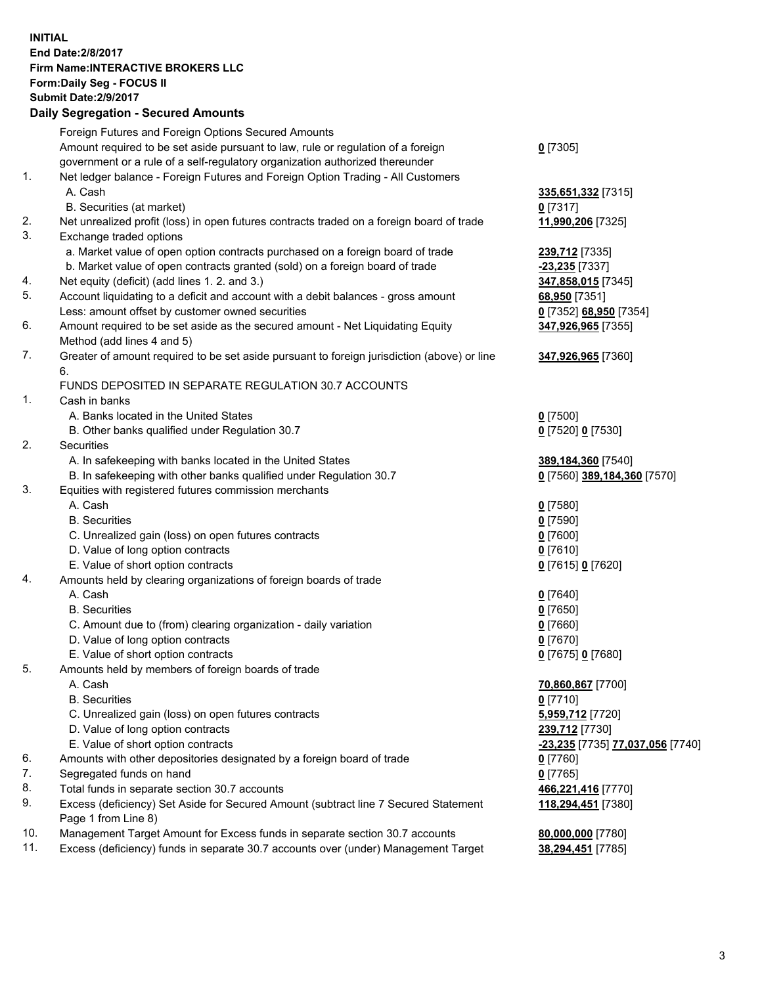## **INITIAL End Date:2/8/2017 Firm Name:INTERACTIVE BROKERS LLC Form:Daily Seg - FOCUS II Submit Date:2/9/2017 Daily Segregation - Secured Amounts**

|     | Foreign Futures and Foreign Options Secured Amounts                                         |                                  |
|-----|---------------------------------------------------------------------------------------------|----------------------------------|
|     | Amount required to be set aside pursuant to law, rule or regulation of a foreign            | $0$ [7305]                       |
|     | government or a rule of a self-regulatory organization authorized thereunder                |                                  |
| 1.  | Net ledger balance - Foreign Futures and Foreign Option Trading - All Customers             |                                  |
|     | A. Cash                                                                                     | 335,651,332 [7315]               |
|     | B. Securities (at market)                                                                   | $0$ [7317]                       |
| 2.  | Net unrealized profit (loss) in open futures contracts traded on a foreign board of trade   | 11,990,206 [7325]                |
| 3.  | Exchange traded options                                                                     |                                  |
|     | a. Market value of open option contracts purchased on a foreign board of trade              | 239,712 [7335]                   |
|     | b. Market value of open contracts granted (sold) on a foreign board of trade                | -23,235 [7337]                   |
| 4.  | Net equity (deficit) (add lines 1. 2. and 3.)                                               | 347,858,015 [7345]               |
| 5.  | Account liquidating to a deficit and account with a debit balances - gross amount           | 68,950 [7351]                    |
|     | Less: amount offset by customer owned securities                                            | 0 [7352] 68,950 [7354]           |
| 6.  | Amount required to be set aside as the secured amount - Net Liquidating Equity              | 347,926,965 [7355]               |
|     | Method (add lines 4 and 5)                                                                  |                                  |
| 7.  | Greater of amount required to be set aside pursuant to foreign jurisdiction (above) or line | 347,926,965 [7360]               |
|     | 6.                                                                                          |                                  |
|     | FUNDS DEPOSITED IN SEPARATE REGULATION 30.7 ACCOUNTS                                        |                                  |
| 1.  | Cash in banks                                                                               |                                  |
|     | A. Banks located in the United States                                                       | $0$ [7500]                       |
|     | B. Other banks qualified under Regulation 30.7                                              | 0 [7520] 0 [7530]                |
| 2.  | Securities                                                                                  |                                  |
|     | A. In safekeeping with banks located in the United States                                   | 389,184,360 [7540]               |
|     | B. In safekeeping with other banks qualified under Regulation 30.7                          | 0 [7560] 389,184,360 [7570]      |
| 3.  | Equities with registered futures commission merchants                                       |                                  |
|     | A. Cash                                                                                     | $0$ [7580]                       |
|     | <b>B.</b> Securities                                                                        | $0$ [7590]                       |
|     | C. Unrealized gain (loss) on open futures contracts                                         | $0$ [7600]                       |
|     | D. Value of long option contracts                                                           | $0$ [7610]                       |
|     | E. Value of short option contracts                                                          | 0 [7615] 0 [7620]                |
| 4.  | Amounts held by clearing organizations of foreign boards of trade                           |                                  |
|     | A. Cash                                                                                     | $0$ [7640]                       |
|     | <b>B.</b> Securities                                                                        | $0$ [7650]                       |
|     | C. Amount due to (from) clearing organization - daily variation                             | $0$ [7660]                       |
|     | D. Value of long option contracts                                                           | $0$ [7670]                       |
|     | E. Value of short option contracts                                                          | 0 [7675] 0 [7680]                |
| 5.  | Amounts held by members of foreign boards of trade                                          |                                  |
|     | A. Cash                                                                                     | 70,860,867 [7700]                |
|     | <b>B.</b> Securities                                                                        | $0$ [7710]                       |
|     | C. Unrealized gain (loss) on open futures contracts                                         | 5,959,712 [7720]                 |
|     | D. Value of long option contracts                                                           | 239,712 [7730]                   |
|     | E. Value of short option contracts                                                          | -23,235 [7735] 77,037,056 [7740] |
| 6.  | Amounts with other depositories designated by a foreign board of trade                      | 0 [7760]                         |
| 7.  | Segregated funds on hand                                                                    | $0$ [7765]                       |
| 8.  | Total funds in separate section 30.7 accounts                                               | 466,221,416 [7770]               |
| 9.  | Excess (deficiency) Set Aside for Secured Amount (subtract line 7 Secured Statement         | 118,294,451 [7380]               |
|     | Page 1 from Line 8)                                                                         |                                  |
| 10. | Management Target Amount for Excess funds in separate section 30.7 accounts                 | 80,000,000 [7780]                |
| 11. | Excess (deficiency) funds in separate 30.7 accounts over (under) Management Target          | 38,294,451 [7785]                |
|     |                                                                                             |                                  |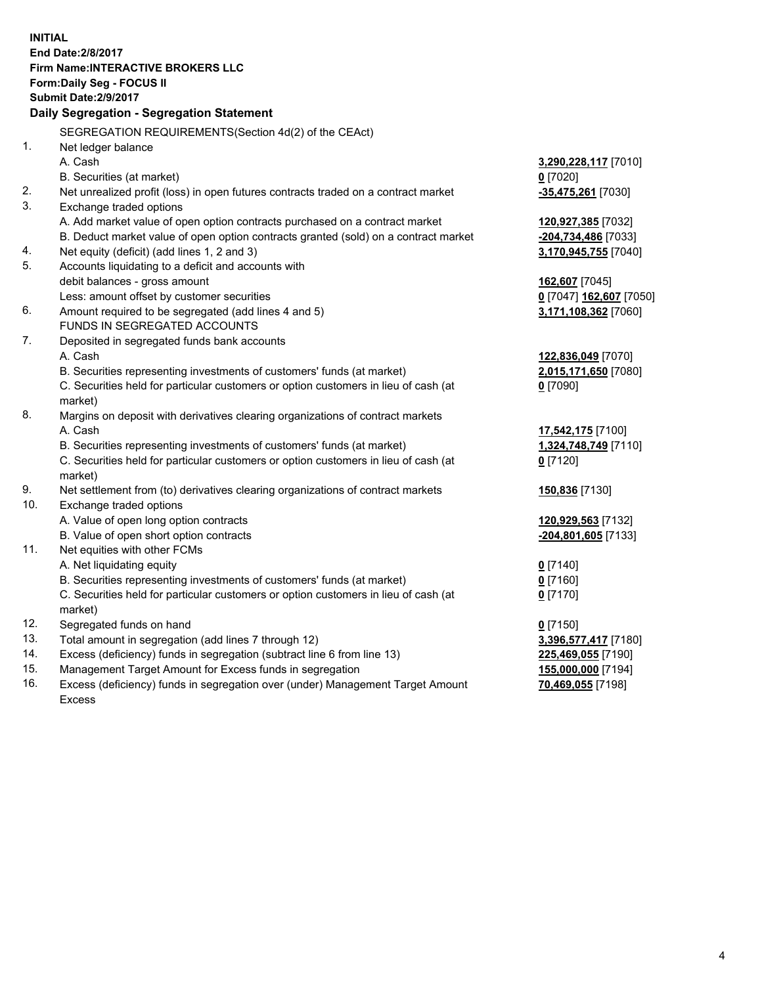**INITIAL End Date:2/8/2017 Firm Name:INTERACTIVE BROKERS LLC Form:Daily Seg - FOCUS II Submit Date:2/9/2017 Daily Segregation - Segregation Statement** SEGREGATION REQUIREMENTS(Section 4d(2) of the CEAct) 1. Net ledger balance A. Cash **3,290,228,117** [7010] B. Securities (at market) **0** [7020] 2. Net unrealized profit (loss) in open futures contracts traded on a contract market **-35,475,261** [7030] 3. Exchange traded options A. Add market value of open option contracts purchased on a contract market **120,927,385** [7032] B. Deduct market value of open option contracts granted (sold) on a contract market **-204,734,486** [7033] 4. Net equity (deficit) (add lines 1, 2 and 3) **3,170,945,755** [7040] 5. Accounts liquidating to a deficit and accounts with debit balances - gross amount **162,607** [7045] Less: amount offset by customer securities **0** [7047] **162,607** [7050] 6. Amount required to be segregated (add lines 4 and 5) **3,171,108,362** [7060] FUNDS IN SEGREGATED ACCOUNTS 7. Deposited in segregated funds bank accounts A. Cash **122,836,049** [7070] B. Securities representing investments of customers' funds (at market) **2,015,171,650** [7080] C. Securities held for particular customers or option customers in lieu of cash (at market) **0** [7090] 8. Margins on deposit with derivatives clearing organizations of contract markets A. Cash **17,542,175** [7100] B. Securities representing investments of customers' funds (at market) **1,324,748,749** [7110] C. Securities held for particular customers or option customers in lieu of cash (at market) **0** [7120] 9. Net settlement from (to) derivatives clearing organizations of contract markets **150,836** [7130] 10. Exchange traded options A. Value of open long option contracts **120,929,563** [7132] B. Value of open short option contracts **-204,801,605** [7133] 11. Net equities with other FCMs A. Net liquidating equity **0** [7140] B. Securities representing investments of customers' funds (at market) **0** [7160] C. Securities held for particular customers or option customers in lieu of cash (at market) **0** [7170] 12. Segregated funds on hand **0** [7150] 13. Total amount in segregation (add lines 7 through 12) **3,396,577,417** [7180] 14. Excess (deficiency) funds in segregation (subtract line 6 from line 13) **225,469,055** [7190] 15. Management Target Amount for Excess funds in segregation **155,000,000** [7194] 16. Excess (deficiency) funds in segregation over (under) Management Target Amount **70,469,055** [7198]

Excess